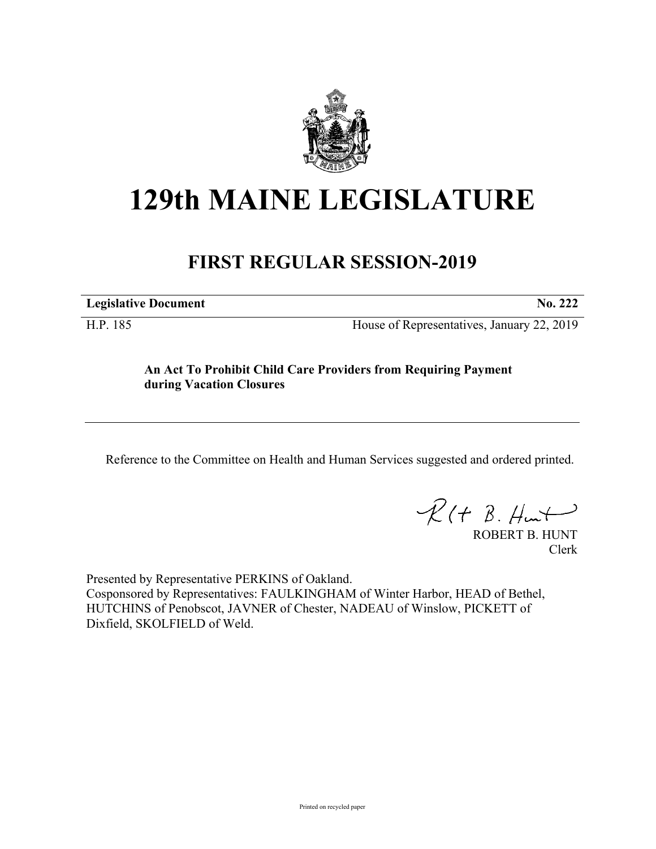

## **129th MAINE LEGISLATURE**

## **FIRST REGULAR SESSION-2019**

**Legislative Document No. 222**

H.P. 185 House of Representatives, January 22, 2019

## **An Act To Prohibit Child Care Providers from Requiring Payment during Vacation Closures**

Reference to the Committee on Health and Human Services suggested and ordered printed.

 $R(t B. Hmt)$ 

ROBERT B. HUNT Clerk

Presented by Representative PERKINS of Oakland. Cosponsored by Representatives: FAULKINGHAM of Winter Harbor, HEAD of Bethel, HUTCHINS of Penobscot, JAVNER of Chester, NADEAU of Winslow, PICKETT of Dixfield, SKOLFIELD of Weld.